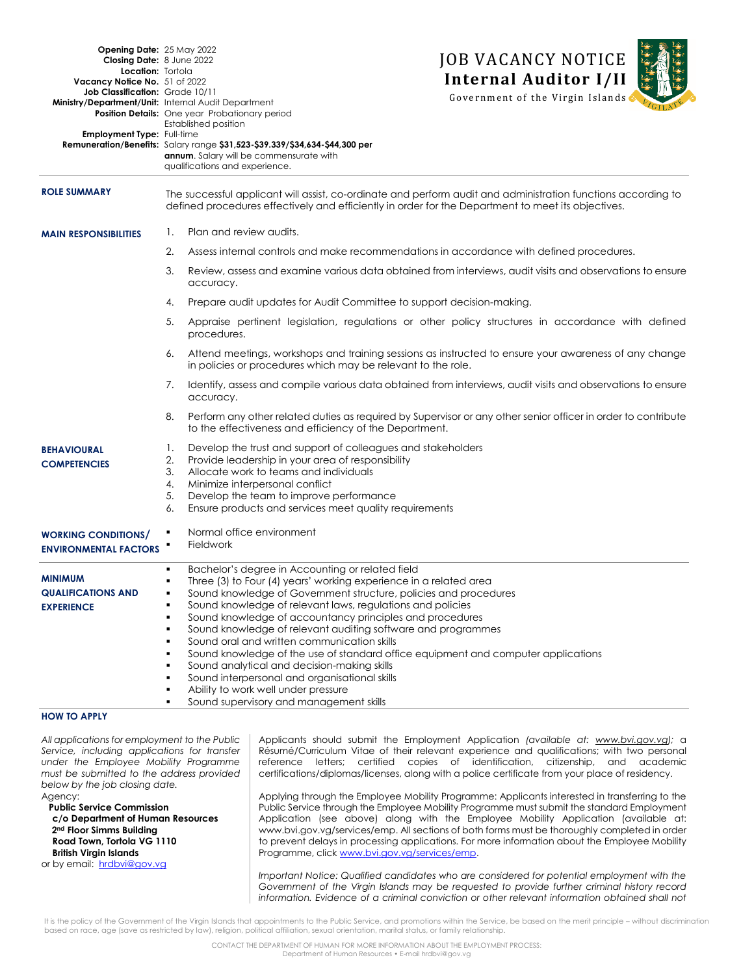| <b>Opening Date: 25 May 2022</b><br>Closing Date: 8 June 2022<br>Location: Tortola<br>Vacancy Notice No. 51 of 2022<br>Job Classification: Grade 10/11<br>Employment Type: Full-time | Ministry/Department/Unit: Internal Audit Department<br><b>Position Details:</b> One year Probationary period<br>Established position<br>Remuneration/Benefits: Salary range \$31,523-\$39.339/\$34,634-\$44,300 per<br>annum. Salary will be commensurate with                                                                                                                                                                                                                                                                                                                                                                                                                                                      | <b>JOB VACANCY NOTICE</b><br><b>Internal Auditor I/II</b><br>Government of the Virgin Islands                 |
|--------------------------------------------------------------------------------------------------------------------------------------------------------------------------------------|---------------------------------------------------------------------------------------------------------------------------------------------------------------------------------------------------------------------------------------------------------------------------------------------------------------------------------------------------------------------------------------------------------------------------------------------------------------------------------------------------------------------------------------------------------------------------------------------------------------------------------------------------------------------------------------------------------------------|---------------------------------------------------------------------------------------------------------------|
| <b>ROLE SUMMARY</b>                                                                                                                                                                  | qualifications and experience.<br>The successful applicant will assist, co-ordinate and perform audit and administration functions according to                                                                                                                                                                                                                                                                                                                                                                                                                                                                                                                                                                     |                                                                                                               |
|                                                                                                                                                                                      | defined procedures effectively and efficiently in order for the Department to meet its objectives.                                                                                                                                                                                                                                                                                                                                                                                                                                                                                                                                                                                                                  |                                                                                                               |
| <b>MAIN RESPONSIBILITIES</b>                                                                                                                                                         | Plan and review audits.<br>Ι.                                                                                                                                                                                                                                                                                                                                                                                                                                                                                                                                                                                                                                                                                       |                                                                                                               |
|                                                                                                                                                                                      | 2.                                                                                                                                                                                                                                                                                                                                                                                                                                                                                                                                                                                                                                                                                                                  | Assess internal controls and make recommendations in accordance with defined procedures.                      |
|                                                                                                                                                                                      | Review, assess and examine various data obtained from interviews, audit visits and observations to ensure<br>3.<br>accuracy.                                                                                                                                                                                                                                                                                                                                                                                                                                                                                                                                                                                        |                                                                                                               |
|                                                                                                                                                                                      | Prepare audit updates for Audit Committee to support decision-making.<br>4.                                                                                                                                                                                                                                                                                                                                                                                                                                                                                                                                                                                                                                         |                                                                                                               |
|                                                                                                                                                                                      | 5.<br>procedures.                                                                                                                                                                                                                                                                                                                                                                                                                                                                                                                                                                                                                                                                                                   | Appraise pertinent legislation, regulations or other policy structures in accordance with defined             |
|                                                                                                                                                                                      | Attend meetings, workshops and training sessions as instructed to ensure your awareness of any change<br>6.<br>in policies or procedures which may be relevant to the role.                                                                                                                                                                                                                                                                                                                                                                                                                                                                                                                                         |                                                                                                               |
|                                                                                                                                                                                      | Identify, assess and compile various data obtained from interviews, audit visits and observations to ensure<br>7.<br>accuracy.                                                                                                                                                                                                                                                                                                                                                                                                                                                                                                                                                                                      |                                                                                                               |
|                                                                                                                                                                                      | 8.<br>to the effectiveness and efficiency of the Department.                                                                                                                                                                                                                                                                                                                                                                                                                                                                                                                                                                                                                                                        | Perform any other related duties as required by Supervisor or any other senior officer in order to contribute |
| <b>BEHAVIOURAL</b><br><b>COMPETENCIES</b>                                                                                                                                            | Develop the trust and support of colleagues and stakeholders<br>Ι.<br>Provide leadership in your area of responsibility<br>2.<br>3.<br>Allocate work to teams and individuals<br>Minimize interpersonal conflict<br>4.<br>Develop the team to improve performance<br>5.<br>Ensure products and services meet quality requirements<br>6.                                                                                                                                                                                                                                                                                                                                                                             |                                                                                                               |
| <b>WORKING CONDITIONS/</b><br><b>ENVIRONMENTAL FACTORS</b>                                                                                                                           | Normal office environment<br><b>Fieldwork</b>                                                                                                                                                                                                                                                                                                                                                                                                                                                                                                                                                                                                                                                                       |                                                                                                               |
| <b>MINIMUM</b><br><b>QUALIFICATIONS AND</b><br><b>EXPERIENCE</b>                                                                                                                     | Bachelor's degree in Accounting or related field<br>Three (3) to Four (4) years' working experience in a related area<br>Sound knowledge of Government structure, policies and procedures<br>Sound knowledge of relevant laws, regulations and policies<br>Sound knowledge of accountancy principles and procedures<br>Sound knowledge of relevant auditing software and programmes<br>Sound oral and written communication skills<br>٠<br>Sound knowledge of the use of standard office equipment and computer applications<br>Sound analytical and decision-making skills<br>Sound interpersonal and organisational skills<br>٠<br>Ability to work well under pressure<br>Sound supervisory and management skills |                                                                                                               |

## **HOW TO APPLY**

*All applications for employment to the Public Service, including applications for transfer under the Employee Mobility Programme must be submitted to the address provided below by the job closing date.*

Agency:

 **Public Service Commission c/o Department of Human Resources 2nd Floor Simms Building Road Town, Tortola VG 1110 British Virgin Islands**  or by email: [hrdbvi@gov.vg](mailto:hrdbvi@gov.vg)

Applicants should submit the Employment Application *(available at: [www.bvi.gov.vg\)](http://www.bvi.gov.vg/sites/default/files/Employment%20Application%20Form.pdf);* a Résumé/Curriculum Vitae of their relevant experience and qualifications; with two personal reference letters; certified copies of identification, citizenship, and academic certifications/diplomas/licenses, along with a police certificate from your place of residency.

Applying through the Employee Mobility Programme: Applicants interested in transferring to the Public Service through the Employee Mobility Programme must submit the standard Employment Application (see above) along with the Employee Mobility Application (available at: www.bvi.gov.vg/services/emp. All sections of both forms must be thoroughly completed in order to prevent delays in processing applications. For more information about the Employee Mobility Programme, click [www.bvi.gov.vg/services/emp.](file://///isu9000/hr$/Work/VACANCY%20NOTICES/2017/PSC/www.bvi.gov.vg/services/emp)

*Important Notice: Qualified candidates who are considered for potential employment with the Government of the Virgin Islands may be requested to provide further criminal history record information. Evidence of a criminal conviction or other relevant information obtained shall not* 

It is the policy of the Government of the Virgin Islands that appointments to the Public Service, and promotions within the Service, be based on the merit principle – without discrimination based on race, age (save as restricted by law), religion, political affiliation, sexual orientation, marital status, or family relationship.